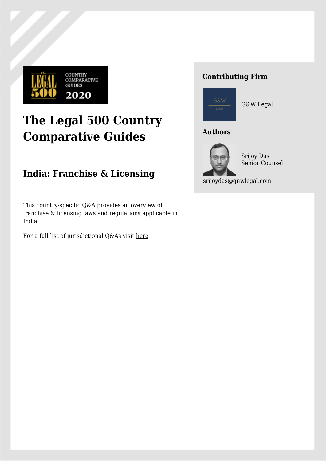

# **The Legal 500 Country Comparative Guides**

# **India: Franchise & Licensing**

This country-specific Q&A provides an overview of franchise & licensing laws and regulations applicable in India.

For a full list of jurisdictional Q&As visit [here](https://www.legal500.com/guides/)

# **Contributing Firm**



G&W Legal

# **Authors**



Srijoy Das Senior Counsel

[srijoydas@gnwlegal.com](mailto:srijoydas@gnwlegal.com)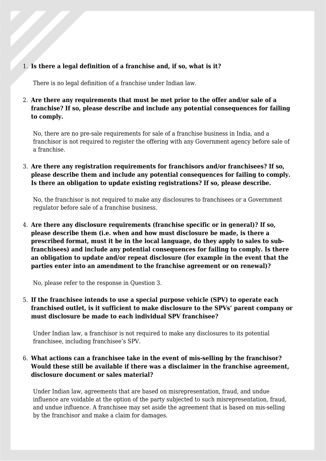#### 1. **Is there a legal definition of a franchise and, if so, what is it?**

There is no legal definition of a franchise under Indian law.

# 2. **Are there any requirements that must be met prior to the offer and/or sale of a franchise? If so, please describe and include any potential consequences for failing to comply.**

No, there are no pre-sale requirements for sale of a franchise business in India, and a franchisor is not required to register the offering with any Government agency before sale of a franchise.

# 3. **Are there any registration requirements for franchisors and/or franchisees? If so, please describe them and include any potential consequences for failing to comply. Is there an obligation to update existing registrations? If so, please describe.**

No, the franchisor is not required to make any disclosures to franchisees or a Government regulator before sale of a franchise business.

4. **Are there any disclosure requirements (franchise specific or in general)? If so, please describe them (i.e. when and how must disclosure be made, is there a prescribed format, must it be in the local language, do they apply to sales to subfranchisees) and include any potential consequences for failing to comply. Is there an obligation to update and/or repeat disclosure (for example in the event that the parties enter into an amendment to the franchise agreement or on renewal)?**

No, please refer to the response in Question 3.

5. **If the franchisee intends to use a special purpose vehicle (SPV) to operate each franchised outlet, is it sufficient to make disclosure to the SPVs' parent company or must disclosure be made to each individual SPV franchisee?**

Under Indian law, a franchisor is not required to make any disclosures to its potential franchisee, including franchisee's SPV.

# 6. **What actions can a franchisee take in the event of mis-selling by the franchisor? Would these still be available if there was a disclaimer in the franchise agreement, disclosure document or sales material?**

Under Indian law, agreements that are based on misrepresentation, fraud, and undue influence are voidable at the option of the party subjected to such misrepresentation, fraud, and undue influence. A franchisee may set aside the agreement that is based on mis-selling by the franchisor and make a claim for damages.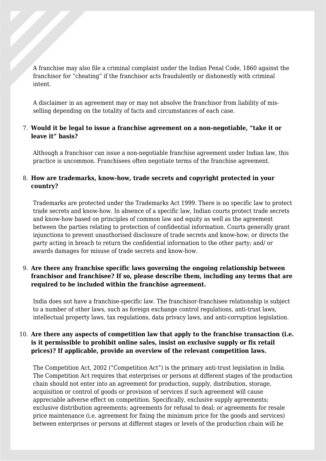A franchise may also file a criminal complaint under the Indian Penal Code, 1860 against the franchisor for "cheating" if the franchisor acts fraudulently or dishonestly with criminal intent.

A disclaimer in an agreement may or may not absolve the franchisor from liability of misselling depending on the totality of facts and circumstances of each case.

#### 7. **Would it be legal to issue a franchise agreement on a non-negotiable, "take it or leave it" basis?**

Although a franchisor can issue a non-negotiable franchise agreement under Indian law, this practice is uncommon. Franchisees often negotiate terms of the franchise agreement.

#### 8. **How are trademarks, know-how, trade secrets and copyright protected in your country?**

Trademarks are protected under the Trademarks Act 1999. There is no specific law to protect trade secrets and know-how. In absence of a specific law, Indian courts protect trade secrets and know-how based on principles of common law and equity as well as the agreement between the parties relating to protection of confidential information. Courts generally grant injunctions to prevent unauthorised disclosure of trade secrets and know-how; or directs the party acting in breach to return the confidential information to the other party; and/ or awards damages for misuse of trade secrets and know-how.

# 9. **Are there any franchise specific laws governing the ongoing relationship between franchisor and franchisee? If so, please describe them, including any terms that are required to be included within the franchise agreement.**

India does not have a franchise-specific law. The franchisor-franchisee relationship is subject to a number of other laws, such as foreign exchange control regulations, anti-trust laws, intellectual property laws, tax regulations, data privacy laws, and anti-corruption legislation.

#### 10. **Are there any aspects of competition law that apply to the franchise transaction (i.e. is it permissible to prohibit online sales, insist on exclusive supply or fix retail prices)? If applicable, provide an overview of the relevant competition laws.**

The Competition Act, 2002 ("Competition Act") is the primary anti-trust legislation in India. The Competition Act requires that enterprises or persons at different stages of the production chain should not enter into an agreement for production, supply, distribution, storage, acquisition or control of goods or provision of services if such agreement will cause appreciable adverse effect on competition. Specifically, exclusive supply agreements; exclusive distribution agreements; agreements for refusal to deal; or agreements for resale price maintenance (i.e. agreement for fixing the minimum price for the goods and services) between enterprises or persons at different stages or levels of the production chain will be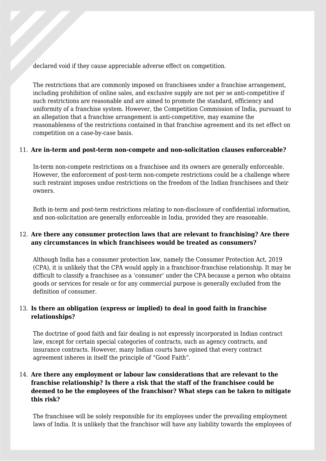declared void if they cause appreciable adverse effect on competition.

The restrictions that are commonly imposed on franchisees under a franchise arrangement, including prohibition of online sales, and exclusive supply are not per se anti-competitive if such restrictions are reasonable and are aimed to promote the standard, efficiency and uniformity of a franchise system. However, the Competition Commission of India, pursuant to an allegation that a franchise arrangement is anti-competitive, may examine the reasonableness of the restrictions contained in that franchise agreement and its net effect on competition on a case-by-case basis.

#### 11. **Are in-term and post-term non-compete and non-solicitation clauses enforceable?**

In-term non-compete restrictions on a franchisee and its owners are generally enforceable. However, the enforcement of post-term non-compete restrictions could be a challenge where such restraint imposes undue restrictions on the freedom of the Indian franchisees and their owners.

Both in-term and post-term restrictions relating to non-disclosure of confidential information, and non-solicitation are generally enforceable in India, provided they are reasonable.

# 12. **Are there any consumer protection laws that are relevant to franchising? Are there any circumstances in which franchisees would be treated as consumers?**

Although India has a consumer protection law, namely the Consumer Protection Act, 2019 (CPA), it is unlikely that the CPA would apply in a franchisor-franchise relationship. It may be difficult to classify a franchisee as a 'consumer' under the CPA because a person who obtains goods or services for resale or for any commercial purpose is generally excluded from the definition of consumer.

# 13. **Is there an obligation (express or implied) to deal in good faith in franchise relationships?**

The doctrine of good faith and fair dealing is not expressly incorporated in Indian contract law, except for certain special categories of contracts, such as agency contracts, and insurance contracts. However, many Indian courts have opined that every contract agreement inheres in itself the principle of "Good Faith".

# 14. **Are there any employment or labour law considerations that are relevant to the franchise relationship? Is there a risk that the staff of the franchisee could be deemed to be the employees of the franchisor? What steps can be taken to mitigate this risk?**

The franchisee will be solely responsible for its employees under the prevailing employment laws of India. It is unlikely that the franchisor will have any liability towards the employees of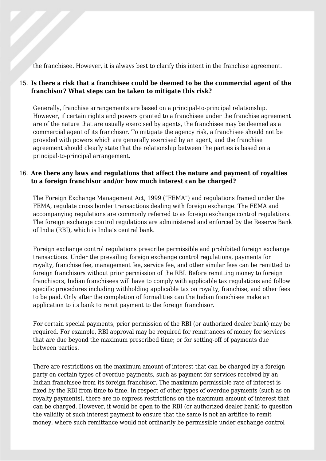the franchisee. However, it is always best to clarify this intent in the franchise agreement.

# 15. **Is there a risk that a franchisee could be deemed to be the commercial agent of the franchisor? What steps can be taken to mitigate this risk?**

Generally, franchise arrangements are based on a principal-to-principal relationship. However, if certain rights and powers granted to a franchisee under the franchise agreement are of the nature that are usually exercised by agents, the franchisee may be deemed as a commercial agent of its franchisor. To mitigate the agency risk, a franchisee should not be provided with powers which are generally exercised by an agent, and the franchise agreement should clearly state that the relationship between the parties is based on a principal-to-principal arrangement.

# 16. **Are there any laws and regulations that affect the nature and payment of royalties to a foreign franchisor and/or how much interest can be charged?**

The Foreign Exchange Management Act, 1999 ("FEMA") and regulations framed under the FEMA, regulate cross border transactions dealing with foreign exchange. The FEMA and accompanying regulations are commonly referred to as foreign exchange control regulations. The foreign exchange control regulations are administered and enforced by the Reserve Bank of India (RBI), which is India's central bank.

Foreign exchange control regulations prescribe permissible and prohibited foreign exchange transactions. Under the prevailing foreign exchange control regulations, payments for royalty, franchise fee, management fee, service fee, and other similar fees can be remitted to foreign franchisors without prior permission of the RBI. Before remitting money to foreign franchisors, Indian franchisees will have to comply with applicable tax regulations and follow specific procedures including withholding applicable tax on royalty, franchise, and other fees to be paid. Only after the completion of formalities can the Indian franchisee make an application to its bank to remit payment to the foreign franchisor.

For certain special payments, prior permission of the RBI (or authorized dealer bank) may be required. For example, RBI approval may be required for remittances of money for services that are due beyond the maximum prescribed time; or for setting-off of payments due between parties.

There are restrictions on the maximum amount of interest that can be charged by a foreign party on certain types of overdue payments, such as payment for services received by an Indian franchisee from its foreign franchisor. The maximum permissible rate of interest is fixed by the RBI from time to time. In respect of other types of overdue payments (such as on royalty payments), there are no express restrictions on the maximum amount of interest that can be charged. However, it would be open to the RBI (or authorized dealer bank) to question the validity of such interest payment to ensure that the same is not an artifice to remit money, where such remittance would not ordinarily be permissible under exchange control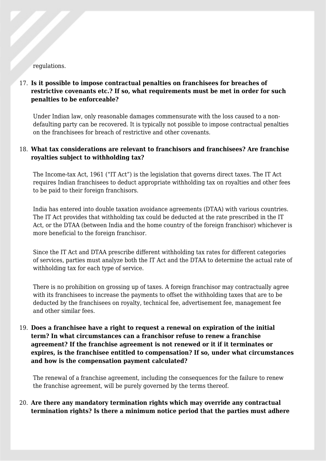#### regulations.

# 17. **Is it possible to impose contractual penalties on franchisees for breaches of restrictive covenants etc.? If so, what requirements must be met in order for such penalties to be enforceable?**

Under Indian law, only reasonable damages commensurate with the loss caused to a nondefaulting party can be recovered. It is typically not possible to impose contractual penalties on the franchisees for breach of restrictive and other covenants.

# 18. **What tax considerations are relevant to franchisors and franchisees? Are franchise royalties subject to withholding tax?**

The Income-tax Act, 1961 ("IT Act") is the legislation that governs direct taxes. The IT Act requires Indian franchisees to deduct appropriate withholding tax on royalties and other fees to be paid to their foreign franchisors.

India has entered into double taxation avoidance agreements (DTAA) with various countries. The IT Act provides that withholding tax could be deducted at the rate prescribed in the IT Act, or the DTAA (between India and the home country of the foreign franchisor) whichever is more beneficial to the foreign franchisor.

Since the IT Act and DTAA prescribe different withholding tax rates for different categories of services, parties must analyze both the IT Act and the DTAA to determine the actual rate of withholding tax for each type of service.

There is no prohibition on grossing up of taxes. A foreign franchisor may contractually agree with its franchisees to increase the payments to offset the withholding taxes that are to be deducted by the franchisees on royalty, technical fee, advertisement fee, management fee and other similar fees.

# 19. **Does a franchisee have a right to request a renewal on expiration of the initial term? In what circumstances can a franchisor refuse to renew a franchise agreement? If the franchise agreement is not renewed or it if it terminates or expires, is the franchisee entitled to compensation? If so, under what circumstances and how is the compensation payment calculated?**

The renewal of a franchise agreement, including the consequences for the failure to renew the franchise agreement, will be purely governed by the terms thereof.

20. **Are there any mandatory termination rights which may override any contractual termination rights? Is there a minimum notice period that the parties must adhere**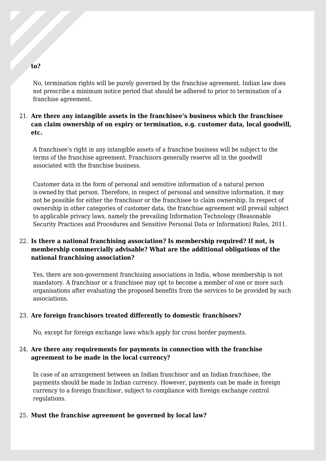#### **to?**

No, termination rights will be purely governed by the franchise agreement. Indian law does not prescribe a minimum notice period that should be adhered to prior to termination of a franchise agreement.

# 21. **Are there any intangible assets in the franchisee's business which the franchisee can claim ownership of on expiry or termination, e.g. customer data, local goodwill, etc.**

A franchisee's right in any intangible assets of a franchise business will be subject to the terms of the franchise agreement. Franchisors generally reserve all in the goodwill associated with the franchise business.

Customer data in the form of personal and sensitive information of a natural person is owned by that person. Therefore, in respect of personal and sensitive information, it may not be possible for either the franchisor or the franchisee to claim ownership. In respect of ownership in other categories of customer data, the franchise agreement will prevail subject to applicable privacy laws, namely the prevailing Information Technology (Reasonable Security Practices and Procedures and Sensitive Personal Data or Information) Rules, 2011.

# 22. **Is there a national franchising association? Is membership required? If not, is membership commercially advisable? What are the additional obligations of the national franchising association?**

Yes, there are non-government franchising associations in India, whose membership is not mandatory. A franchisor or a franchisee may opt to become a member of one or more such organisations after evaluating the proposed benefits from the services to be provided by such associations.

#### 23. **Are foreign franchisors treated differently to domestic franchisors?**

No, except for foreign exchange laws which apply for cross border payments.

#### 24. **Are there any requirements for payments in connection with the franchise agreement to be made in the local currency?**

In case of an arrangement between an Indian franchisor and an Indian franchisee, the payments should be made in Indian currency. However, payments can be made in foreign currency to a foreign franchisor, subject to compliance with foreign exchange control regulations.

#### 25. **Must the franchise agreement be governed by local law?**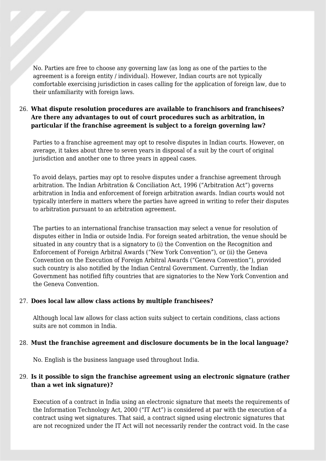No. Parties are free to choose any governing law (as long as one of the parties to the agreement is a foreign entity / individual). However, Indian courts are not typically comfortable exercising jurisdiction in cases calling for the application of foreign law, due to their unfamiliarity with foreign laws.

## 26. **What dispute resolution procedures are available to franchisors and franchisees? Are there any advantages to out of court procedures such as arbitration, in particular if the franchise agreement is subject to a foreign governing law?**

Parties to a franchise agreement may opt to resolve disputes in Indian courts. However, on average, it takes about three to seven years in disposal of a suit by the court of original jurisdiction and another one to three years in appeal cases.

To avoid delays, parties may opt to resolve disputes under a franchise agreement through arbitration. The Indian Arbitration & Conciliation Act, 1996 ("Arbitration Act") governs arbitration in India and enforcement of foreign arbitration awards. Indian courts would not typically interfere in matters where the parties have agreed in writing to refer their disputes to arbitration pursuant to an arbitration agreement.

The parties to an international franchise transaction may select a venue for resolution of disputes either in India or outside India. For foreign seated arbitration, the venue should be situated in any country that is a signatory to (i) the Convention on the Recognition and Enforcement of Foreign Arbitral Awards ("New York Convention"), or (ii) the Geneva Convention on the Execution of Foreign Arbitral Awards ("Geneva Convention"), provided such country is also notified by the Indian Central Government. Currently, the Indian Government has notified fifty countries that are signatories to the New York Convention and the Geneva Convention.

#### 27. **Does local law allow class actions by multiple franchisees?**

Although local law allows for class action suits subject to certain conditions, class actions suits are not common in India.

#### 28. **Must the franchise agreement and disclosure documents be in the local language?**

No. English is the business language used throughout India.

# 29. **Is it possible to sign the franchise agreement using an electronic signature (rather than a wet ink signature)?**

Execution of a contract in India using an electronic signature that meets the requirements of the Information Technology Act, 2000 ("IT Act") is considered at par with the execution of a contract using wet signatures. That said, a contract signed using electronic signatures that are not recognized under the IT Act will not necessarily render the contract void. In the case